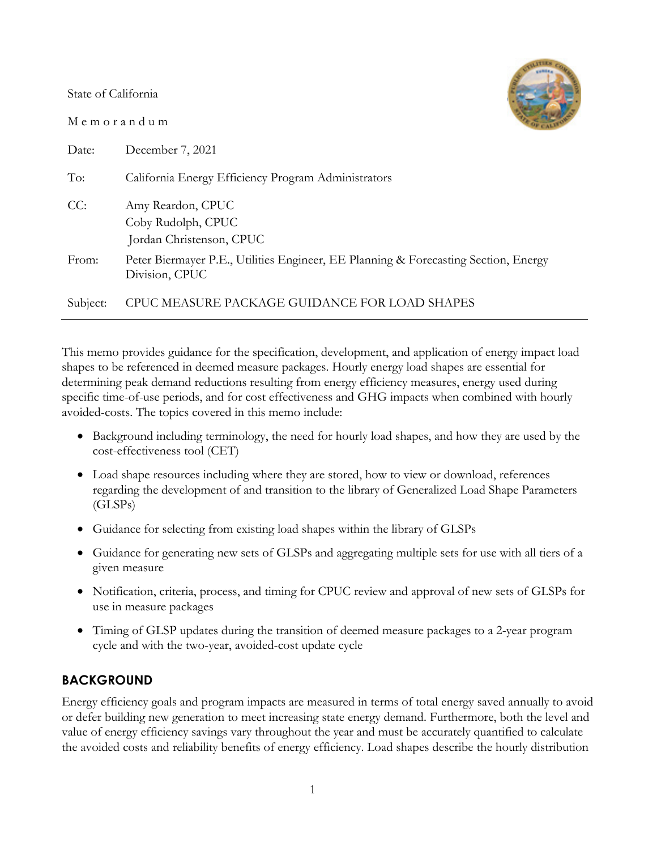State of California

M e m o r a n d u m



| Date:    | December 7, 2021                                                                                      |
|----------|-------------------------------------------------------------------------------------------------------|
| To:      | California Energy Efficiency Program Administrators                                                   |
| CC:      | Amy Reardon, CPUC<br>Coby Rudolph, CPUC<br>Jordan Christenson, CPUC                                   |
| From:    | Peter Biermayer P.E., Utilities Engineer, EE Planning & Forecasting Section, Energy<br>Division, CPUC |
| Subject: | CPUC MEASURE PACKAGE GUIDANCE FOR LOAD SHAPES                                                         |

This memo provides guidance for the specification, development, and application of energy impact load shapes to be referenced in deemed measure packages. Hourly energy load shapes are essential for determining peak demand reductions resulting from energy efficiency measures, energy used during specific time-of-use periods, and for cost effectiveness and GHG impacts when combined with hourly avoided-costs. The topics covered in this memo include:

- Background including terminology, the need for hourly load shapes, and how they are used by the cost-effectiveness tool (CET)
- Load shape resources including where they are stored, how to view or download, references regarding the development of and transition to the library of Generalized Load Shape Parameters (GLSPs)
- Guidance for selecting from existing load shapes within the library of GLSPs
- Guidance for generating new sets of GLSPs and aggregating multiple sets for use with all tiers of a given measure
- Notification, criteria, process, and timing for CPUC review and approval of new sets of GLSPs for use in measure packages
- Timing of GLSP updates during the transition of deemed measure packages to a 2-year program cycle and with the two-year, avoided-cost update cycle

# **BACKGROUND**

Energy efficiency goals and program impacts are measured in terms of total energy saved annually to avoid or defer building new generation to meet increasing state energy demand. Furthermore, both the level and value of energy efficiency savings vary throughout the year and must be accurately quantified to calculate the avoided costs and reliability benefits of energy efficiency. Load shapes describe the hourly distribution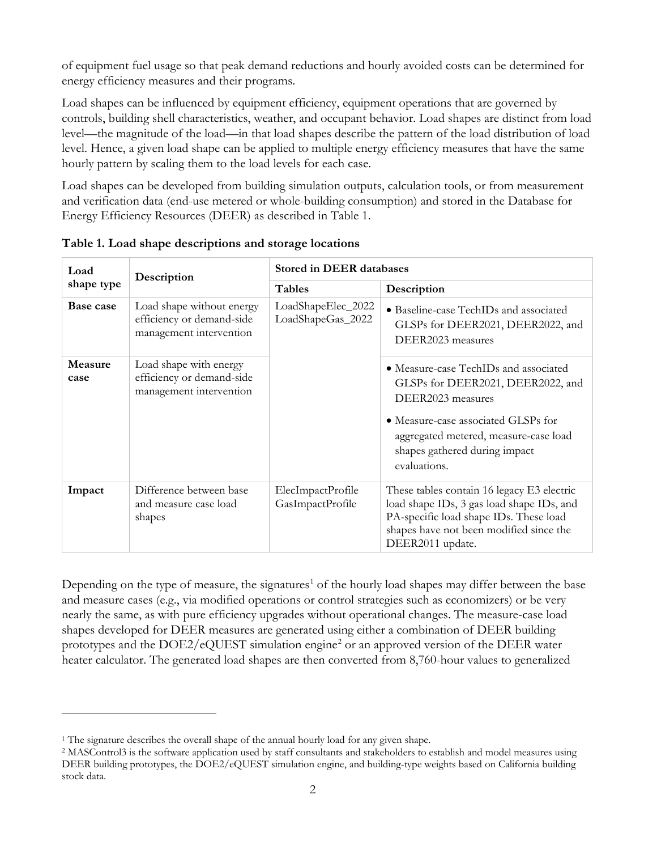of equipment fuel usage so that peak demand reductions and hourly avoided costs can be determined for energy efficiency measures and their programs.

Load shapes can be influenced by equipment efficiency, equipment operations that are governed by controls, building shell characteristics, weather, and occupant behavior. Load shapes are distinct from load level—the magnitude of the load—in that load shapes describe the pattern of the load distribution of load level. Hence, a given load shape can be applied to multiple energy efficiency measures that have the same hourly pattern by scaling them to the load levels for each case.

Load shapes can be developed from building simulation outputs, calculation tools, or from measurement and verification data (end-use metered or whole-building consumption) and stored in the Database for Energy Efficiency Resources (DEER) as described in [Table 1.](#page-1-0)

| Load            | Description                                                                       | <b>Stored in DEER databases</b>         |                                                                                                                                                                                                                                  |  |  |
|-----------------|-----------------------------------------------------------------------------------|-----------------------------------------|----------------------------------------------------------------------------------------------------------------------------------------------------------------------------------------------------------------------------------|--|--|
| shape type      |                                                                                   | <b>Tables</b>                           | Description                                                                                                                                                                                                                      |  |  |
| Base case       | Load shape without energy<br>efficiency or demand-side<br>management intervention | LoadShapeElec_2022<br>LoadShapeGas_2022 | • Baseline-case TechIDs and associated<br>GLSPs for DEER2021, DEER2022, and<br>DEER2023 measures                                                                                                                                 |  |  |
| Measure<br>case | Load shape with energy<br>efficiency or demand-side<br>management intervention    |                                         | • Measure-case TechIDs and associated<br>GLSPs for DEER2021, DEER2022, and<br>DEER2023 measures<br>• Measure-case associated GLSPs for<br>aggregated metered, measure-case load<br>shapes gathered during impact<br>evaluations. |  |  |
| Impact          | Difference between base<br>and measure case load<br>shapes                        | ElecImpactProfile<br>GasImpactProfile   | These tables contain 16 legacy E3 electric<br>load shape IDs, 3 gas load shape IDs, and<br>PA-specific load shape IDs. These load<br>shapes have not been modified since the<br>DEER2011 update.                                 |  |  |

<span id="page-1-0"></span>**Table 1. Load shape descriptions and storage locations**

Depending on the type of measure, the signatures<sup>[1](#page-1-1)</sup> of the hourly load shapes may differ between the base and measure cases (e.g., via modified operations or control strategies such as economizers) or be very nearly the same, as with pure efficiency upgrades without operational changes. The measure-case load shapes developed for DEER measures are generated using either a combination of DEER building prototypes and the  $DOE2/eQUEST$  $DOE2/eQUEST$  $DOE2/eQUEST$  simulation engine<sup>2</sup> or an approved version of the DEER water heater calculator. The generated load shapes are then converted from 8,760-hour values to generalized

<span id="page-1-1"></span><sup>&</sup>lt;sup>1</sup> The signature describes the overall shape of the annual hourly load for any given shape.

<span id="page-1-2"></span><sup>2</sup> MASControl3 is the software application used by staff consultants and stakeholders to establish and model measures using DEER building prototypes, the DOE2/eQUEST simulation engine, and building-type weights based on California building stock data.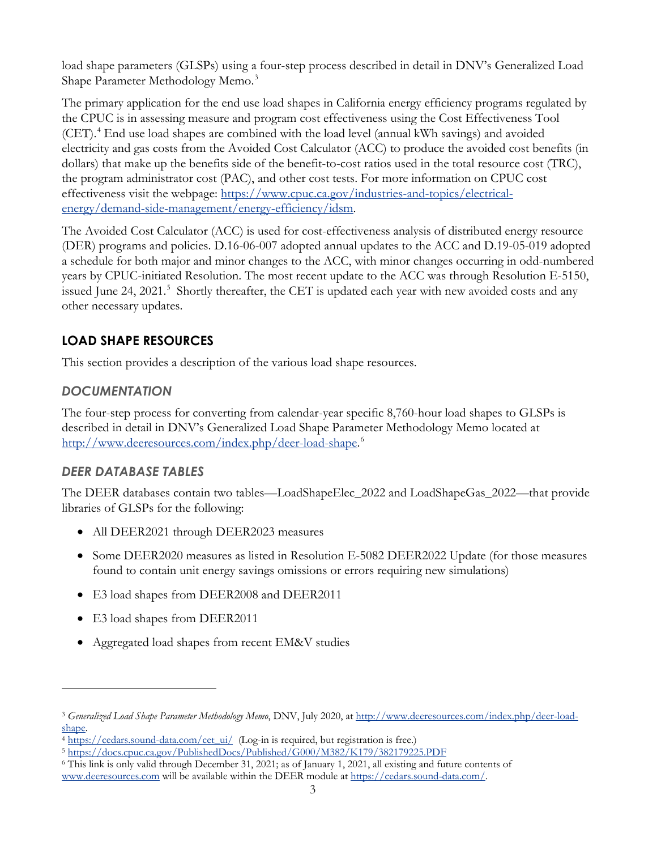load shape parameters (GLSPs) using a four-step process described in detail in DNV's Generalized Load Shape Parameter Methodology Memo.<sup>[3](#page-2-0)</sup>

The primary application for the end use load shapes in California energy efficiency programs regulated by the CPUC is in assessing measure and program cost effectiveness using the Cost Effectiveness Tool (CET).[4](#page-2-1) End use load shapes are combined with the load level (annual kWh savings) and avoided electricity and gas costs from the Avoided Cost Calculator (ACC) to produce the avoided cost benefits (in dollars) that make up the benefits side of the benefit-to-cost ratios used in the total resource cost (TRC), the program administrator cost (PAC), and other cost tests. For more information on CPUC cost effectiveness visit the webpage: [https://www.cpuc.ca.gov/industries-and-topics/electrical](https://www.cpuc.ca.gov/industries-and-topics/electrical-energy/demand-side-management/energy-efficiency/idsm)[energy/demand-side-management/energy-efficiency/idsm.](https://www.cpuc.ca.gov/industries-and-topics/electrical-energy/demand-side-management/energy-efficiency/idsm)

The Avoided Cost Calculator (ACC) is used for cost-effectiveness analysis of distributed energy resource (DER) programs and policies. D.16-06-007 adopted annual updates to the ACC and D.19-05-019 adopted a schedule for both major and minor changes to the ACC, with minor changes occurring in odd-numbered years by CPUC-initiated Resolution. The most recent update to the ACC was through Resolution E-5150, issued June 24, 2021.<sup>[5](#page-2-2)</sup> Shortly thereafter, the CET is updated each year with new avoided costs and any other necessary updates.

# **LOAD SHAPE RESOURCES**

This section provides a description of the various load shape resources.

# *DOCUMENTATION*

The four-step process for converting from calendar-year specific 8,760-hour load shapes to GLSPs is described in detail in DNV's Generalized Load Shape Parameter Methodology Memo located at [http://www.deeresources.com/index.php/deer-load-shape.](http://www.deeresources.com/index.php/deer-load-shape) [6](#page-2-3)

## *DEER DATABASE TABLES*

The DEER databases contain two tables—LoadShapeElec\_2022 and LoadShapeGas\_2022—that provide libraries of GLSPs for the following:

- All DEER2021 through DEER2023 measures
- Some DEER2020 measures as listed in Resolution E-5082 DEER2022 Update (for those measures found to contain unit energy savings omissions or errors requiring new simulations)
- E3 load shapes from DEER2008 and DEER2011
- E3 load shapes from DEER2011
- Aggregated load shapes from recent EM&V studies

<span id="page-2-0"></span><sup>3</sup> *Generalized Load Shape Parameter Methodology Memo*, DNV, July 2020, a[t http://www.deeresources.com/index.php/deer-load](http://www.deeresources.com/index.php/deer-load-shape)[shape.](http://www.deeresources.com/index.php/deer-load-shape)

<span id="page-2-1"></span><sup>&</sup>lt;sup>4</sup> [https://cedars.sound-data.com/cet\\_ui/](https://cedars.sound-data.com/cet_ui/) (Log-in is required, but registration is free.)

<span id="page-2-2"></span><sup>5</sup> <https://docs.cpuc.ca.gov/PublishedDocs/Published/G000/M382/K179/382179225.PDF>

<span id="page-2-3"></span><sup>6</sup> This link is only valid through December 31, 2021; as of January 1, 2021, all existing and future contents of

[www.deeresources.com](http://www.deeresources.com/) will be available within the DEER module at [https://cedars.sound-data.com/.](https://cedars.sound-data.com/)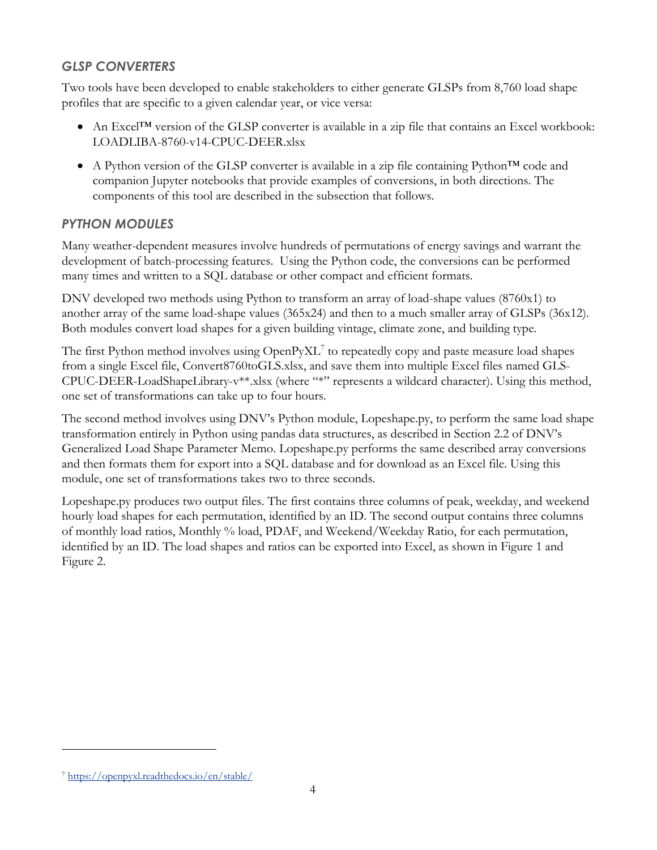# *GLSP CONVERTERS*

Two tools have been developed to enable stakeholders to either generate GLSPs from 8,760 load shape profiles that are specific to a given calendar year, or vice versa:

- An Excel<sup>TM</sup> version of the GLSP converter is available in a zip file that contains an Excel workbook: LOADLIBA-8760-v14-CPUC-DEER.xlsx
- A Python version of the GLSP converter is available in a zip file containing Python<sup>™</sup> code and companion Jupyter notebooks that provide examples of conversions, in both directions. The components of this tool are described in the subsection that follows.

# *PYTHON MODULES*

Many weather-dependent measures involve hundreds of permutations of energy savings and warrant the development of batch-processing features. Using the Python code, the conversions can be performed many times and written to a SQL database or other compact and efficient formats.

DNV developed two methods using Python to transform an array of load-shape values (8760x1) to another array of the same load-shape values (365x24) and then to a much smaller array of GLSPs (36x12). Both modules convert load shapes for a given building vintage, climate zone, and building type.

The first Python method involves using  $OpenPyXL^7$  $OpenPyXL^7$  to repeatedly copy and paste measure load shapes from a single Excel file, Convert8760toGLS.xlsx, and save them into multiple Excel files named GLS-CPUC-DEER-LoadShapeLibrary-v\*\*.xlsx (where "\*" represents a wildcard character). Using this method, one set of transformations can take up to four hours.

The second method involves using DNV's Python module, Lopeshape.py, to perform the same load shape transformation entirely in Python using pandas data structures, as described in Section 2.2 of DNV's Generalized Load Shape Parameter Memo. Lopeshape.py performs the same described array conversions and then formats them for export into a SQL database and for download as an Excel file. Using this module, one set of transformations takes two to three seconds.

Lopeshape.py produces two output files. The first contains three columns of peak, weekday, and weekend hourly load shapes for each permutation, identified by an ID. The second output contains three columns of monthly load ratios, Monthly % load, PDAF, and Weekend/Weekday Ratio, for each permutation, identified by an ID. The load shapes and ratios can be exported into Excel, as shown in [Figure 1](#page-4-0) and [Figure 2.](#page-4-1)

<span id="page-3-0"></span><sup>7</sup> <https://openpyxl.readthedocs.io/en/stable/>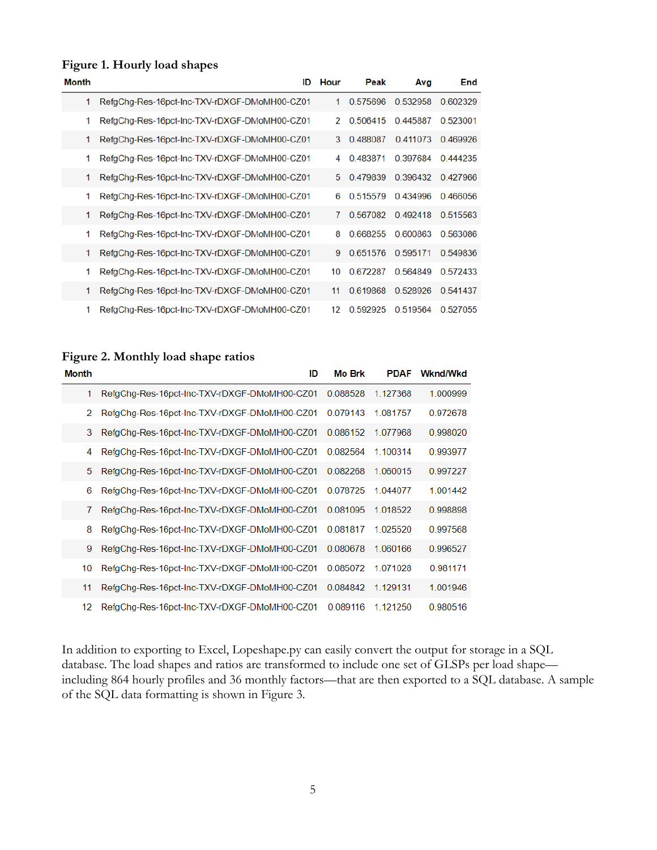#### <span id="page-4-0"></span>**Figure 1. Hourly load shapes**

| Month | ID                                           | Hour | Peak     | Avg      | End      |
|-------|----------------------------------------------|------|----------|----------|----------|
| 1     | RefgChg-Res-16pct-Inc-TXV-rDXGF-DMoMH00-CZ01 | 1    | 0.575696 | 0.532958 | 0.602329 |
| 1     | RefgChg-Res-16pct-Inc-TXV-rDXGF-DMoMH00-CZ01 | 2    | 0.506415 | 0.445887 | 0.523001 |
| 1     | RefgChg-Res-16pct-Inc-TXV-rDXGF-DMoMH00-CZ01 | 3    | 0.488087 | 0.411073 | 0.469926 |
| 1     | RefgChg-Res-16pct-Inc-TXV-rDXGF-DMoMH00-CZ01 | 4    | 0.483871 | 0.397684 | 0.444235 |
| 1     | RefgChg-Res-16pct-Inc-TXV-rDXGF-DMoMH00-CZ01 | 5    | 0.479839 | 0.396432 | 0.427966 |
| 1     | RefgChg-Res-16pct-Inc-TXV-rDXGF-DMoMH00-CZ01 | 6    | 0.515579 | 0.434996 | 0.466056 |
| 1     | RefgChg-Res-16pct-Inc-TXV-rDXGF-DMoMH00-CZ01 | 7    | 0.567082 | 0.492418 | 0.515563 |
| 1     | RefgChg-Res-16pct-Inc-TXV-rDXGF-DMoMH00-CZ01 | 8    | 0.668255 | 0.600863 | 0.563086 |
| 1     | RefgChg-Res-16pct-Inc-TXV-rDXGF-DMoMH00-CZ01 | 9    | 0.651576 | 0.595171 | 0.549836 |
| 1     | RefgChg-Res-16pct-Inc-TXV-rDXGF-DMoMH00-CZ01 | 10   | 0.672287 | 0.564849 | 0.572433 |
| 1     | RefaCha-Res-16pct-Inc-TXV-rDXGF-DMoMH00-CZ01 | 11   | 0.619868 | 0.528926 | 0.541437 |
| 1     | RefgChg-Res-16pct-Inc-TXV-rDXGF-DMoMH00-CZ01 | 12   | 0.592925 | 0.519564 | 0.527055 |

#### <span id="page-4-1"></span>**Figure 2. Monthly load shape ratios**

| Month | ID                                           | <b>Mo Brk</b> | <b>PDAF</b> | <b>Wknd/Wkd</b> |
|-------|----------------------------------------------|---------------|-------------|-----------------|
| 1     | RefgChg-Res-16pct-Inc-TXV-rDXGF-DMoMH00-CZ01 | 0.088528      | 1.127368    | 1.000999        |
| 2     | RefgChg-Res-16pct-Inc-TXV-rDXGF-DMoMH00-CZ01 | 0.079143      | 1 081757    | 0.972678        |
| 3     | RefgChg-Res-16pct-Inc-TXV-rDXGF-DMoMH00-CZ01 | 0.086152      | 1 077968    | 0.998020        |
| 4     | RefgChg-Res-16pct-Inc-TXV-rDXGF-DMoMH00-CZ01 | 0.082564      | 1 100314    | 0.993977        |
| 5     | RefgChg-Res-16pct-Inc-TXV-rDXGF-DMoMH00-CZ01 | 0.082268      | 1.060015    | 0.997227        |
| 6     | RefgChg-Res-16pct-Inc-TXV-rDXGF-DMoMH00-CZ01 | 0.078725      | 1.044077    | 1.001442        |
| 7     | RefgChg-Res-16pct-Inc-TXV-rDXGF-DMoMH00-CZ01 | 0.081095      | 1.018522    | 0.998898        |
| 8     | RefgChg-Res-16pct-Inc-TXV-rDXGF-DMoMH00-CZ01 | 0.081817      | 1 025520    | 0.997568        |
| 9     | RefgChg-Res-16pct-Inc-TXV-rDXGF-DMoMH00-CZ01 | 0.080678      | 1.060166    | 0.996527        |
| 10    | RefgChg-Res-16pct-Inc-TXV-rDXGF-DMoMH00-CZ01 | 0.085072      | 1.071028    | 0.981171        |
| 11    | RefgChg-Res-16pct-Inc-TXV-rDXGF-DMoMH00-CZ01 | 0.084842      | 1.129131    | 1.001946        |
| 12    | RefgChg-Res-16pct-Inc-TXV-rDXGF-DMoMH00-CZ01 | 0.089116      | 1.121250    | 0.980516        |

In addition to exporting to Excel, Lopeshape.py can easily convert the output for storage in a SQL database. The load shapes and ratios are transformed to include one set of GLSPs per load shape including 864 hourly profiles and 36 monthly factors—that are then exported to a SQL database. A sample of the SQL data formatting is shown in [Figure 3.](#page-5-0)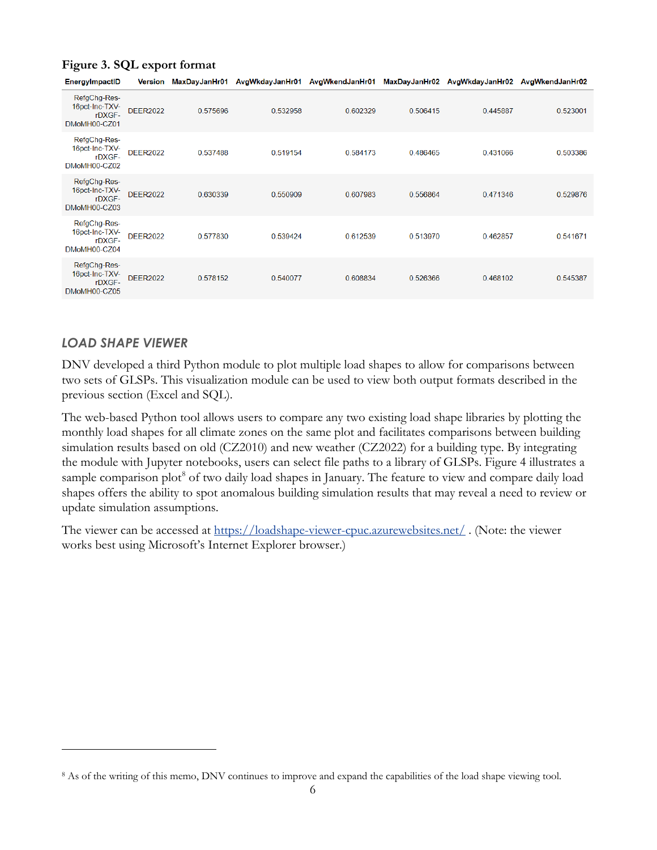| EnergylmpactID                                           | Version         | MaxDayJanHr01 |          | AvgWkdayJanHr01 AvgWkendJanHr01 MaxDayJanHr02 AvgWkdayJanHr02 |          |          | AvgWkendJanHr02 |
|----------------------------------------------------------|-----------------|---------------|----------|---------------------------------------------------------------|----------|----------|-----------------|
| RefgChg-Res-<br>16pct-Inc-TXV-<br>rDXGF-<br>DMoMH00-CZ01 | <b>DEER2022</b> | 0.575696      | 0.532958 | 0.602329                                                      | 0.506415 | 0.445887 | 0.523001        |
| RefgChg-Res-<br>16pct-Inc-TXV-<br>rDXGF-<br>DMoMH00-CZ02 | <b>DEER2022</b> | 0.537488      | 0.519154 | 0.584173                                                      | 0.486465 | 0.431066 | 0.503386        |
| RefgChg-Res-<br>16pct-Inc-TXV-<br>rDXGF-<br>DMoMH00-CZ03 | <b>DEER2022</b> | 0.630339      | 0.550909 | 0.607983                                                      | 0.556864 | 0.471346 | 0.529876        |
| RefgChg-Res-<br>16pct-Inc-TXV-<br>rDXGF-<br>DMoMH00-CZ04 | <b>DEER2022</b> | 0.577830      | 0.539424 | 0.612539                                                      | 0.513970 | 0.462857 | 0.541671        |
| RefgChg-Res-<br>16pct-Inc-TXV-<br>rDXGF-<br>DMoMH00-CZ05 | <b>DEER2022</b> | 0.578152      | 0.540077 | 0.608834                                                      | 0.526366 | 0.468102 | 0.545387        |

### <span id="page-5-0"></span>**Figure 3. SQL export format**

*LOAD SHAPE VIEWER*

DNV developed a third Python module to plot multiple load shapes to allow for comparisons between two sets of GLSPs. This visualization module can be used to view both output formats described in the previous section (Excel and SQL).

The web-based Python tool allows users to compare any two existing load shape libraries by plotting the monthly load shapes for all climate zones on the same plot and facilitates comparisons between building simulation results based on old (CZ2010) and new weather (CZ2022) for a building type. By integrating the module with Jupyter notebooks, users can select file paths to a library of GLSPs. [Figure 4](#page-6-0) illustrates a sample comparison plot<sup>[8](#page-5-1)</sup> of two daily load shapes in January. The feature to view and compare daily load shapes offers the ability to spot anomalous building simulation results that may reveal a need to review or update simulation assumptions.

The viewer can be accessed at<https://loadshape-viewer-cpuc.azurewebsites.net/> . (Note: the viewer works best using Microsoft's Internet Explorer browser.)

<span id="page-5-1"></span><sup>8</sup> As of the writing of this memo, DNV continues to improve and expand the capabilities of the load shape viewing tool.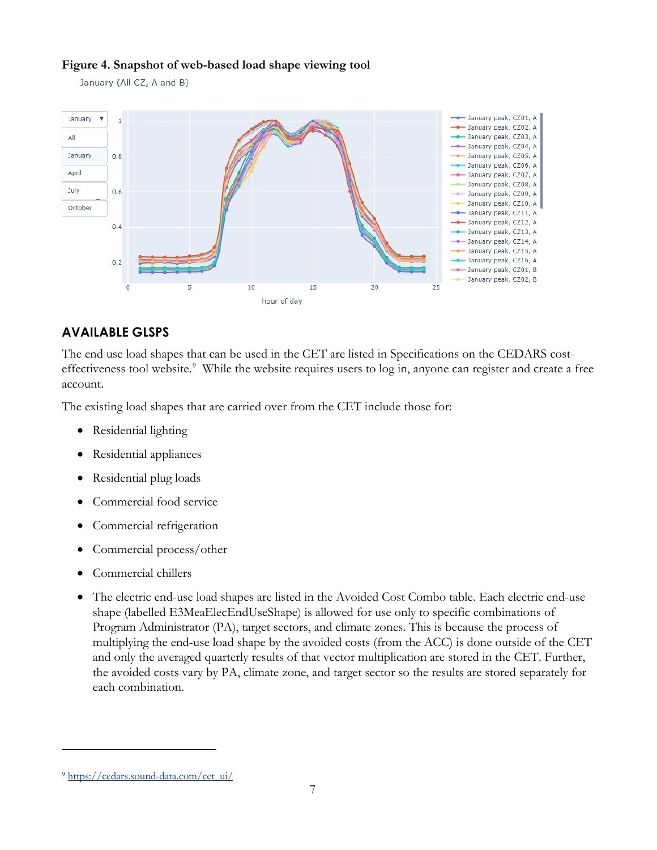#### <span id="page-6-0"></span>**Figure 4. Snapshot of web-based load shape viewing tool**

January (All CZ, A and B)



## **AVAILABLE GLSPS**

The end use load shapes that can be used in the CET are listed in Specifications on the CEDARS cost-effectiveness tool website.<sup>[9](#page-6-1)</sup> While the website requires users to log in, anyone can register and create a free account.

The existing load shapes that are carried over from the CET include those for:

- Residential lighting
- Residential appliances
- Residential plug loads
- Commercial food service
- Commercial refrigeration
- Commercial process/other
- Commercial chillers
- The electric end-use load shapes are listed in the Avoided Cost Combo table. Each electric end-use shape (labelled E3MeaElecEndUseShape) is allowed for use only to specific combinations of Program Administrator (PA), target sectors, and climate zones. This is because the process of multiplying the end-use load shape by the avoided costs (from the ACC) is done outside of the CET and only the averaged quarterly results of that vector multiplication are stored in the CET. Further, the avoided costs vary by PA, climate zone, and target sector so the results are stored separately for each combination.

<span id="page-6-1"></span><sup>9</sup> [https://cedars.sound-data.com/cet\\_ui/](https://cedars.sound-data.com/cet_ui/)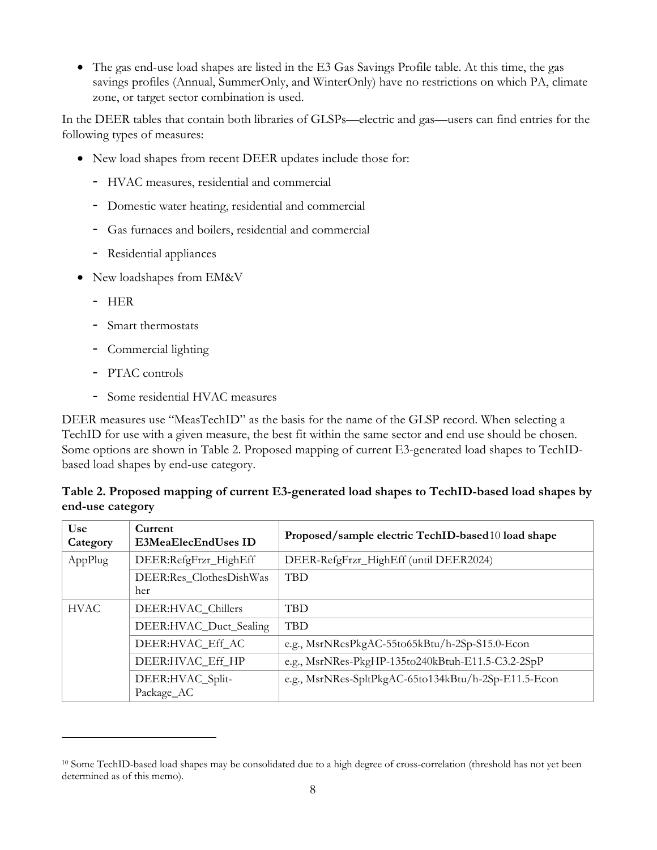• The gas end-use load shapes are listed in the E3 Gas Savings Profile table. At this time, the gas savings profiles (Annual, SummerOnly, and WinterOnly) have no restrictions on which PA, climate zone, or target sector combination is used.

In the DEER tables that contain both libraries of GLSPs—electric and gas—users can find entries for the following types of measures:

- New load shapes from recent DEER updates include those for:
	- HVAC measures, residential and commercial
	- Domestic water heating, residential and commercial
	- Gas furnaces and boilers, residential and commercial
	- Residential appliances
- New loadshapes from EM&V
	- HER
	- Smart thermostats
	- Commercial lighting
	- PTAC controls
	- Some residential HVAC measures

DEER measures use "MeasTechID" as the basis for the name of the GLSP record. When selecting a TechID for use with a given measure, the best fit within the same sector and end use should be chosen. Some options are shown in [Table 2. Proposed mapping of current E3-generated load shapes to TechID](#page-7-0)[based load shapes by end-use category.](#page-7-0)

### <span id="page-7-0"></span>**Table 2. Proposed mapping of current E3-generated load shapes to TechID-based load shapes by end-use category**

| Use<br>Category | Current<br><b>E3MeaElecEndUses ID</b> | Proposed/sample electric TechID-based10 load shape   |
|-----------------|---------------------------------------|------------------------------------------------------|
| AppPlug         | DEER:RefgFrzr_HighEff                 | DEER-RefgFrzr_HighEff (until DEER2024)               |
|                 | DEER:Res_ClothesDishWas<br>her        | <b>TBD</b>                                           |
| <b>HVAC</b>     | DEER:HVAC_Chillers                    | <b>TBD</b>                                           |
|                 | DEER:HVAC_Duct_Sealing                | <b>TBD</b>                                           |
|                 | DEER:HVAC_Eff_AC                      | e.g., MsrNResPkgAC-55to65kBtu/h-2Sp-S15.0-Econ       |
|                 | DEER:HVAC_Eff_HP                      | e.g., MsrNRes-PkgHP-135to240kBtuh-E11.5-C3.2-2SpP    |
|                 | DEER:HVAC_Split-<br>Package_AC        | e.g., MsrNRes-SpltPkgAC-65to134kBtu/h-2Sp-E11.5-Econ |

<span id="page-7-1"></span><sup>&</sup>lt;sup>10</sup> Some TechID-based load shapes may be consolidated due to a high degree of cross-correlation (threshold has not yet been determined as of this memo).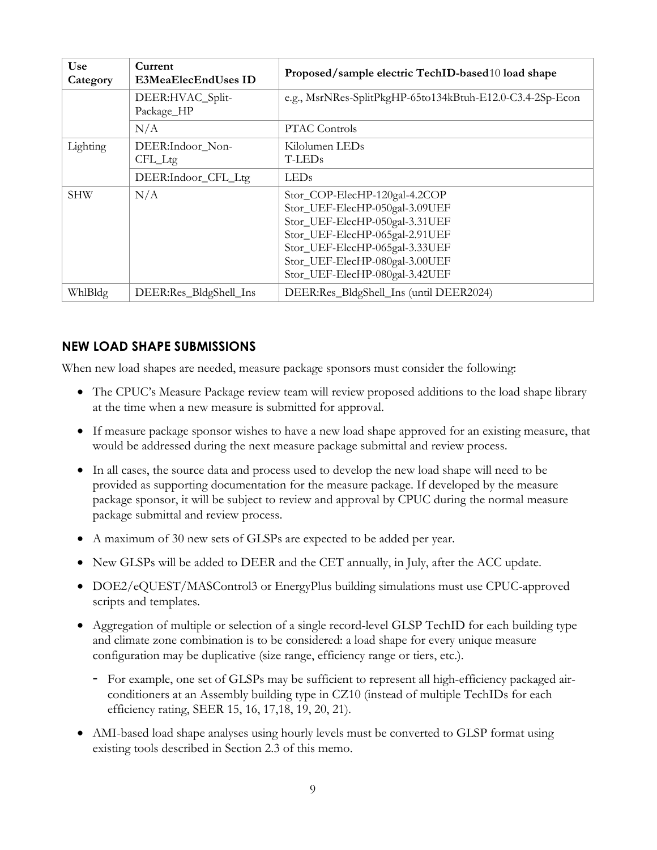| <b>Use</b><br>Category | Current<br><b>E3MeaElecEndUses ID</b> | Proposed/sample electric TechID-based10 load shape                                                                                                                                                                                        |
|------------------------|---------------------------------------|-------------------------------------------------------------------------------------------------------------------------------------------------------------------------------------------------------------------------------------------|
|                        | DEER:HVAC_Split-<br>Package_HP        | e.g., MsrNRes-SplitPkgHP-65to134kBtuh-E12.0-C3.4-2Sp-Econ                                                                                                                                                                                 |
|                        | N/A                                   | <b>PTAC Controls</b>                                                                                                                                                                                                                      |
| Lighting               | DEER:Indoor_Non-<br>CFL_Ltg           | Kilolumen LEDs<br>T-LED <sub>s</sub>                                                                                                                                                                                                      |
|                        | DEER:Indoor_CFL_Ltg                   | LEDs                                                                                                                                                                                                                                      |
| <b>SHW</b>             | N/A                                   | Stor_COP-ElecHP-120gal-4.2COP<br>Stor_UEF-ElecHP-050gal-3.09UEF<br>Stor_UEF-ElecHP-050gal-3.31UEF<br>Stor_UEF-ElecHP-065gal-2.91UEF<br>Stor_UEF-ElecHP-065gal-3.33UEF<br>Stor_UEF-ElecHP-080gal-3.00UEF<br>Stor_UEF-ElecHP-080gal-3.42UEF |
| WhlBldg                | DEER:Res_BldgShell_Ins                | DEER:Res_BldgShell_Ins (until DEER2024)                                                                                                                                                                                                   |

### **NEW LOAD SHAPE SUBMISSIONS**

When new load shapes are needed, measure package sponsors must consider the following:

- The CPUC's Measure Package review team will review proposed additions to the load shape library at the time when a new measure is submitted for approval.
- If measure package sponsor wishes to have a new load shape approved for an existing measure, that would be addressed during the next measure package submittal and review process.
- In all cases, the source data and process used to develop the new load shape will need to be provided as supporting documentation for the measure package. If developed by the measure package sponsor, it will be subject to review and approval by CPUC during the normal measure package submittal and review process.
- A maximum of 30 new sets of GLSPs are expected to be added per year.
- New GLSPs will be added to DEER and the CET annually, in July, after the ACC update.
- DOE2/eQUEST/MASControl3 or EnergyPlus building simulations must use CPUC-approved scripts and templates.
- Aggregation of multiple or selection of a single record-level GLSP TechID for each building type and climate zone combination is to be considered: a load shape for every unique measure configuration may be duplicative (size range, efficiency range or tiers, etc.).
	- For example, one set of GLSPs may be sufficient to represent all high-efficiency packaged airconditioners at an Assembly building type in CZ10 (instead of multiple TechIDs for each efficiency rating, SEER 15, 16, 17,18, 19, 20, 21).
- AMI-based load shape analyses using hourly levels must be converted to GLSP format using existing tools described in Section 2.3 of this memo.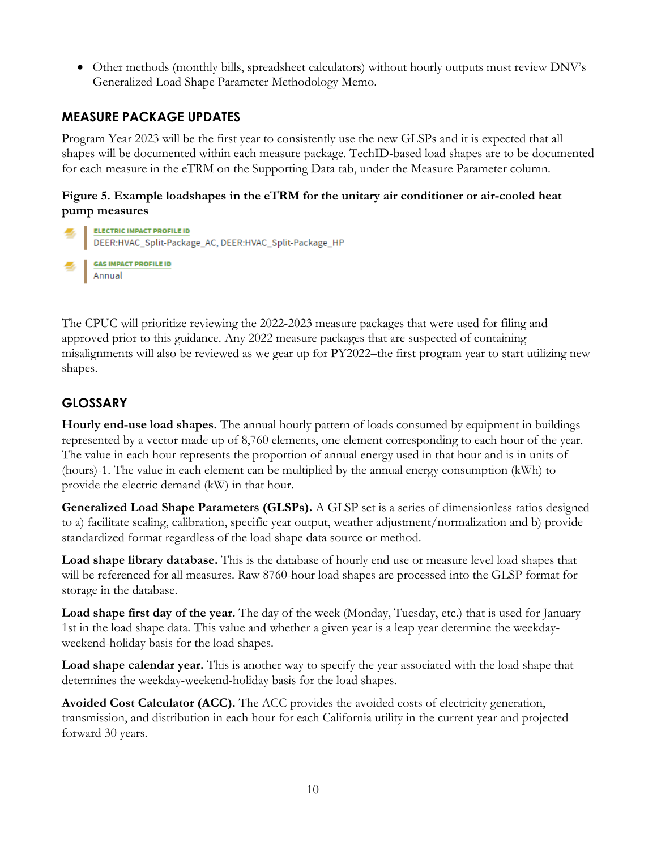• Other methods (monthly bills, spreadsheet calculators) without hourly outputs must review DNV's Generalized Load Shape Parameter Methodology Memo.

## **MEASURE PACKAGE UPDATES**

Program Year 2023 will be the first year to consistently use the new GLSPs and it is expected that all shapes will be documented within each measure package. TechID-based load shapes are to be documented for each measure in the eTRM on the Supporting Data tab, under the Measure Parameter column.

#### **Figure 5. Example loadshapes in the eTRM for the unitary air conditioner or air-cooled heat pump measures**



The CPUC will prioritize reviewing the 2022-2023 measure packages that were used for filing and approved prior to this guidance. Any 2022 measure packages that are suspected of containing misalignments will also be reviewed as we gear up for PY2022–the first program year to start utilizing new shapes.

## **GLOSSARY**

**Hourly end-use load shapes.** The annual hourly pattern of loads consumed by equipment in buildings represented by a vector made up of 8,760 elements, one element corresponding to each hour of the year. The value in each hour represents the proportion of annual energy used in that hour and is in units of (hours)-1. The value in each element can be multiplied by the annual energy consumption (kWh) to provide the electric demand (kW) in that hour.

**Generalized Load Shape Parameters (GLSPs).** A GLSP set is a series of dimensionless ratios designed to a) facilitate scaling, calibration, specific year output, weather adjustment/normalization and b) provide standardized format regardless of the load shape data source or method.

**Load shape library database.** This is the database of hourly end use or measure level load shapes that will be referenced for all measures. Raw 8760-hour load shapes are processed into the GLSP format for storage in the database.

**Load shape first day of the year.** The day of the week (Monday, Tuesday, etc.) that is used for January 1st in the load shape data. This value and whether a given year is a leap year determine the weekdayweekend-holiday basis for the load shapes.

**Load shape calendar year.** This is another way to specify the year associated with the load shape that determines the weekday-weekend-holiday basis for the load shapes.

**Avoided Cost Calculator (ACC).** The ACC provides the avoided costs of electricity generation, transmission, and distribution in each hour for each California utility in the current year and projected forward 30 years.